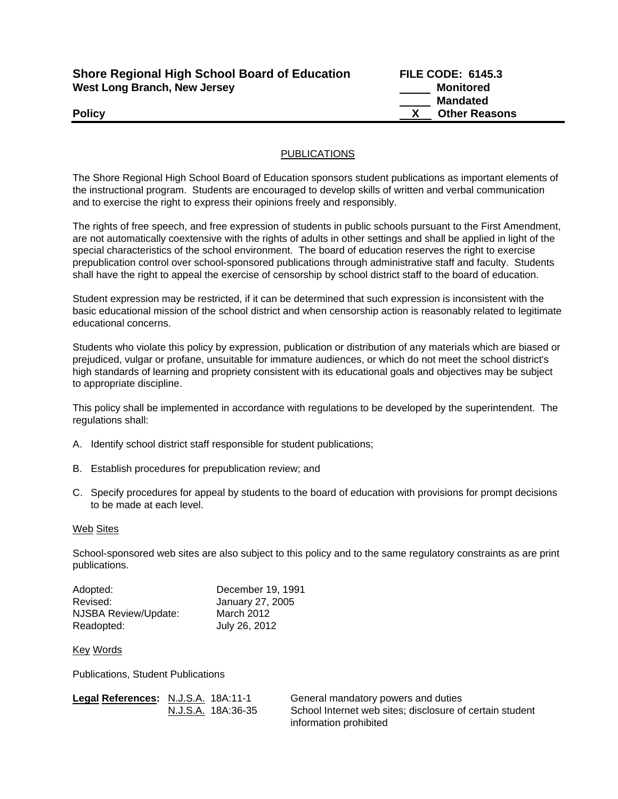| <b>Shore Regional High School Board of Education</b> |  |
|------------------------------------------------------|--|
| <b>West Long Branch, New Jersey</b>                  |  |

**Shore Regional High School Board of Education FILE CODE: 6145.3 Monitored Mandated Policy CONSERVING A POLICY CONSERVING A POLICY CONSERVING A POLICY CONSERVING A POLICY CONSERVING A POLICY** 

## PUBLICATIONS

The Shore Regional High School Board of Education sponsors student publications as important elements of the instructional program. Students are encouraged to develop skills of written and verbal communication and to exercise the right to express their opinions freely and responsibly.

The rights of free speech, and free expression of students in public schools pursuant to the First Amendment, are not automatically coextensive with the rights of adults in other settings and shall be applied in light of the special characteristics of the school environment. The board of education reserves the right to exercise prepublication control over school-sponsored publications through administrative staff and faculty. Students shall have the right to appeal the exercise of censorship by school district staff to the board of education.

Student expression may be restricted, if it can be determined that such expression is inconsistent with the basic educational mission of the school district and when censorship action is reasonably related to legitimate educational concerns.

Students who violate this policy by expression, publication or distribution of any materials which are biased or prejudiced, vulgar or profane, unsuitable for immature audiences, or which do not meet the school district's high standards of learning and propriety consistent with its educational goals and objectives may be subject to appropriate discipline.

This policy shall be implemented in accordance with regulations to be developed by the superintendent. The regulations shall:

- A. Identify school district staff responsible for student publications;
- B. Establish procedures for prepublication review; and
- C. Specify procedures for appeal by students to the board of education with provisions for prompt decisions to be made at each level.

## Web Sites

School-sponsored web sites are also subject to this policy and to the same regulatory constraints as are print publications.

| Adopted:             | December 19, 1991 |
|----------------------|-------------------|
| Revised:             | January 27, 2005  |
| NJSBA Review/Update: | March 2012        |
| Readopted:           | July 26, 2012     |

Key Words

Publications, Student Publications

| Legal References: N.J.S.A. 18A:11-1 |                    | General mandatory powers and duties                      |
|-------------------------------------|--------------------|----------------------------------------------------------|
|                                     | N.J.S.A. 18A:36-35 | School Internet web sites; disclosure of certain student |
|                                     |                    | information prohibited                                   |